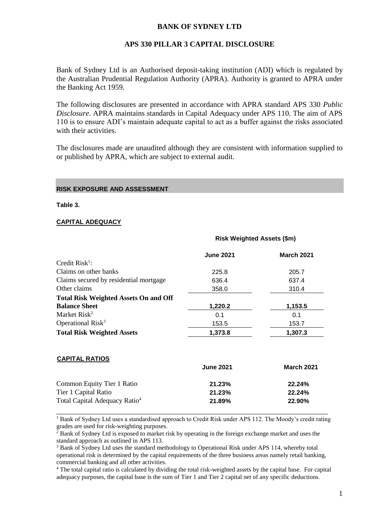# **BANK OF SYDNEY LTD**

### **APS 330 PILLAR 3 CAPITAL DISCLOSURE**

Bank of Sydney Ltd is an Authorised deposit-taking institution (ADI) which is regulated by the Australian Prudential Regulation Authority (APRA). Authority is granted to APRA under the Banking Act 1959.

The following disclosures are presented in accordance with APRA standard APS 330 *Public Disclosure*. APRA maintains standards in Capital Adequacy under APS 110. The aim of APS 110 is to ensure ADI's maintain adequate capital to act as a buffer against the risks associated with their activities.

The disclosures made are unaudited although they are consistent with information supplied to or published by APRA, which are subject to external audit.

**Risk Weighted Assets (\$m)**

#### **RISK EXPOSURE AND ASSESSMENT**

**Table 3.**

#### **CAPITAL ADEQUACY**

**CAPITAL RATIOS**

|                                              | <b>June 2021</b> | <b>March 2021</b> |
|----------------------------------------------|------------------|-------------------|
| Credit $Risk1$ :                             |                  |                   |
| Claims on other banks                        | 225.8            | 205.7             |
| Claims secured by residential mortgage       | 636.4            | 637.4             |
| Other claims                                 | 358.0            | 310.4             |
| <b>Total Risk Weighted Assets On and Off</b> |                  |                   |
| <b>Balance Sheet</b>                         | 1,220.2          | 1,153.5           |
| Market Risk <sup>2</sup>                     | 0.1              | 0.1               |
| Operational Risk <sup>3</sup>                | 153.5            | 153.7             |
| <b>Total Risk Weighted Assets</b>            | 1,373.8          | 1.307.3           |

| <b>UAFILAL RAIIUS</b>                     | <b>June 2021</b> | <b>March 2021</b> |
|-------------------------------------------|------------------|-------------------|
| Common Equity Tier 1 Ratio                | 21.23%           | 22.24%            |
| Tier 1 Capital Ratio                      | 21.23%           | 22.24%            |
| Total Capital Adequacy Ratio <sup>4</sup> | 21.89%           | 22.90%            |
|                                           |                  |                   |

<sup>1</sup> Bank of Sydney Ltd uses a standardised approach to Credit Risk under APS 112. The Moody's credit rating grades are used for risk-weighting purposes.

<sup>2</sup> Bank of Sydney Ltd is exposed to market risk by operating in the foreign exchange market and uses the standard approach as outlined in APS 113.

<sup>3</sup> Bank of Sydney Ltd uses the standard methodology to Operational Risk under APS 114, whereby total operational risk is determined by the capital requirements of the three business areas namely retail banking, commercial banking and all other activities.

<sup>4</sup> The total capital ratio is calculated by dividing the total risk-weighted assets by the capital base. For capital adequacy purposes, the capital base is the sum of Tier 1 and Tier 2 capital net of any specific deductions.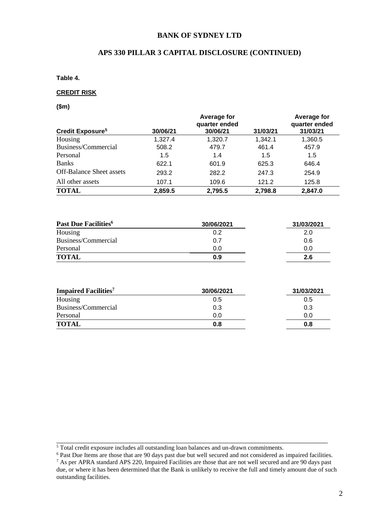## **BANK OF SYDNEY LTD**

# **APS 330 PILLAR 3 CAPITAL DISCLOSURE (CONTINUED)**

**Table 4.** 

#### **CREDIT RISK**

**(\$m)**

|                                 |          | Average for<br>quarter ended |          | Average for<br>quarter ended |
|---------------------------------|----------|------------------------------|----------|------------------------------|
| Credit Exposure <sup>5</sup>    | 30/06/21 | 30/06/21                     | 31/03/21 | 31/03/21                     |
| Housing                         | 1,327.4  | 1,320.7                      | 1,342.1  | 1,360.5                      |
| Business/Commercial             | 508.2    | 479.7                        | 461.4    | 457.9                        |
| Personal                        | 1.5      | 1.4                          | 1.5      | 1.5                          |
| <b>Banks</b>                    | 622.1    | 601.9                        | 625.3    | 646.4                        |
| <b>Off-Balance Sheet assets</b> | 293.2    | 282.2                        | 247.3    | 254.9                        |
| All other assets                | 107.1    | 109.6                        | 121.2    | 125.8                        |
| <b>TOTAL</b>                    | 2,859.5  | 2,795.5                      | 2,798.8  | 2,847.0                      |

| Past Due Facilities <sup>6</sup> | 30/06/2021 | 31/03/2021 |
|----------------------------------|------------|------------|
| Housing                          | 0.2        | 2.0        |
| Business/Commercial              | 0.7        | 0.6        |
| Personal                         | 0.0        | 0.0        |
| <b>TOTAL</b>                     | 0.9        | 2.6        |

| <b>Impaired Facilities</b> <sup>7</sup> | 30/06/2021 | 31/03/2021 |
|-----------------------------------------|------------|------------|
| Housing                                 | 0.5        | 0.5        |
| Business/Commercial                     | 0.3        | 0.3        |
| Personal                                | 0.0        | 0.0        |
| <b>TOTAL</b>                            | 0.8        | 0.8        |

\_\_\_\_\_\_\_\_\_\_\_\_\_\_\_\_\_\_\_\_\_\_\_\_\_\_\_\_\_\_\_\_\_\_\_\_\_\_\_\_\_\_\_\_\_\_\_\_\_\_\_\_\_\_\_\_\_\_\_\_\_\_\_\_\_\_\_\_\_\_\_\_

<sup>&</sup>lt;sup>5</sup> Total credit exposure includes all outstanding loan balances and un-drawn commitments.

<sup>&</sup>lt;sup>6</sup> Past Due Items are those that are 90 days past due but well secured and not considered as impaired facilities.

 $7$  As per APRA standard APS 220, Impaired Facilities are those that are not well secured and are 90 days past due, or where it has been determined that the Bank is unlikely to receive the full and timely amount due of such outstanding facilities.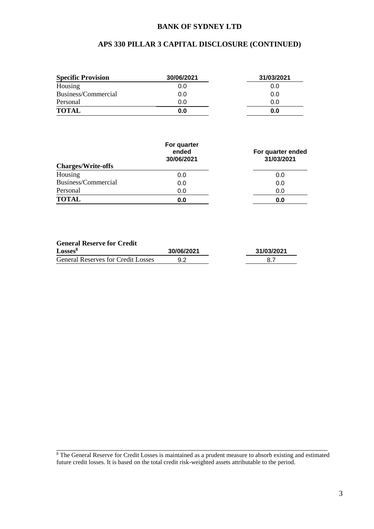## **BANK OF SYDNEY LTD**

# **APS 330 PILLAR 3 CAPITAL DISCLOSURE (CONTINUED)**

| <b>Specific Provision</b> | 30/06/2021 | 31/03/2021 |
|---------------------------|------------|------------|
| Housing                   | 0.0        | 0.0        |
| Business/Commercial       | 0.0        | 0.0        |
| Personal                  | 0.0        | 0.0        |
| <b>TOTAL</b>              | 0.0        | 0.0        |

| <b>Charges/Write-offs</b> | For quarter<br>ended<br>30/06/2021 | For quarter ended<br>31/03/2021 |
|---------------------------|------------------------------------|---------------------------------|
| Housing                   | 0.0                                | 0.0                             |
| Business/Commercial       | 0.0                                | 0.0                             |
| Personal                  | 0.0                                | 0.0                             |
| <b>TOTAL</b>              | 0.0                                | 0.0                             |

### **General Reserve for Credit**

| Losses <sup>8</sup>                       | 30/06/2021 | 31/03/2021 |
|-------------------------------------------|------------|------------|
| <b>General Reserves for Credit Losses</b> |            |            |

\_\_\_\_\_\_\_\_\_\_\_\_\_\_\_\_\_\_\_\_\_\_\_\_\_\_\_\_\_\_\_\_\_\_\_\_\_\_\_\_\_\_\_\_\_\_\_\_\_\_\_\_\_\_\_\_\_\_\_\_\_\_\_\_\_\_\_\_\_\_\_\_ <sup>8</sup> The General Reserve for Credit Losses is maintained as a prudent measure to absorb existing and estimated future credit losses. It is based on the total credit risk-weighted assets attributable to the period.